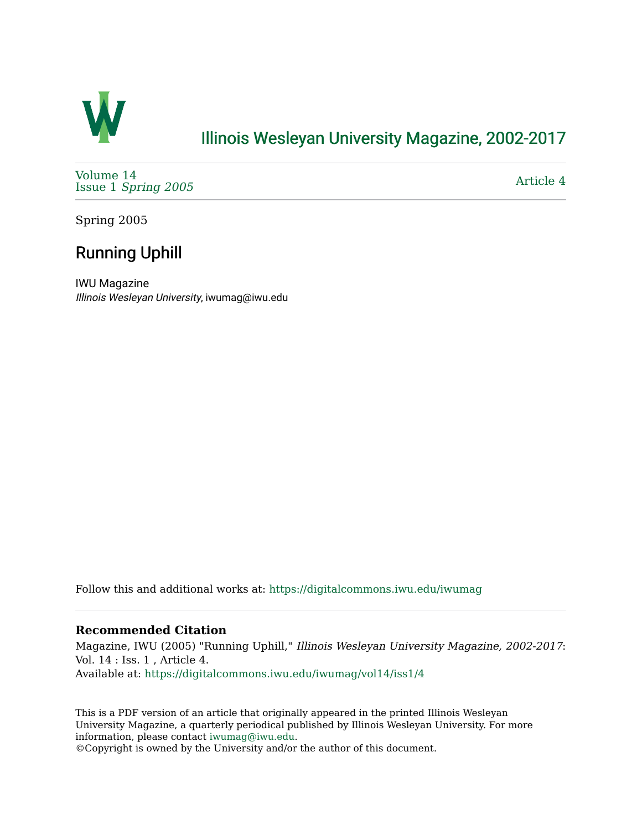

## [Illinois Wesleyan University Magazine, 2002-2017](https://digitalcommons.iwu.edu/iwumag)

[Volume 14](https://digitalcommons.iwu.edu/iwumag/vol14)  Issue 1 [Spring 2005](https://digitalcommons.iwu.edu/iwumag/vol14/iss1)

[Article 4](https://digitalcommons.iwu.edu/iwumag/vol14/iss1/4) 

Spring 2005

# Running Uphill

IWU Magazine Illinois Wesleyan University, iwumag@iwu.edu

Follow this and additional works at: [https://digitalcommons.iwu.edu/iwumag](https://digitalcommons.iwu.edu/iwumag?utm_source=digitalcommons.iwu.edu%2Fiwumag%2Fvol14%2Fiss1%2F4&utm_medium=PDF&utm_campaign=PDFCoverPages) 

### **Recommended Citation**

Magazine, IWU (2005) "Running Uphill," Illinois Wesleyan University Magazine, 2002-2017: Vol. 14 : Iss. 1 , Article 4. Available at: [https://digitalcommons.iwu.edu/iwumag/vol14/iss1/4](https://digitalcommons.iwu.edu/iwumag/vol14/iss1/4?utm_source=digitalcommons.iwu.edu%2Fiwumag%2Fvol14%2Fiss1%2F4&utm_medium=PDF&utm_campaign=PDFCoverPages)

This is a PDF version of an article that originally appeared in the printed Illinois Wesleyan University Magazine, a quarterly periodical published by Illinois Wesleyan University. For more information, please contact [iwumag@iwu.edu](mailto:iwumag@iwu.edu).

©Copyright is owned by the University and/or the author of this document.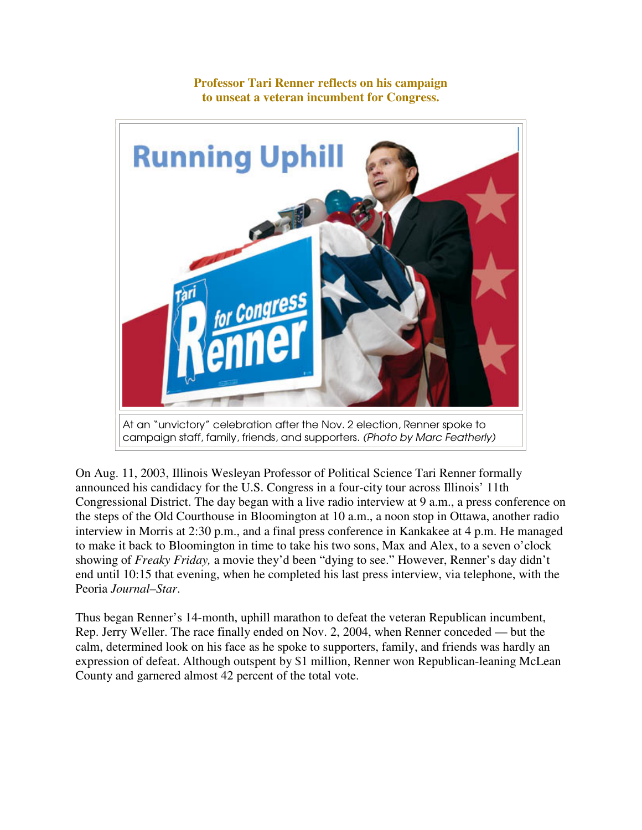

**Professor Tari Renner reflects on his campaign to unseat a veteran incumbent for Congress.** 

On Aug. 11, 2003, Illinois Wesleyan Professor of Political Science Tari Renner formally announced his candidacy for the U.S. Congress in a four-city tour across Illinois' 11th Congressional District. The day began with a live radio interview at 9 a.m., a press conference on the steps of the Old Courthouse in Bloomington at 10 a.m., a noon stop in Ottawa, another radio interview in Morris at 2:30 p.m., and a final press conference in Kankakee at 4 p.m. He managed to make it back to Bloomington in time to take his two sons, Max and Alex, to a seven o'clock showing of *Freaky Friday,* a movie they'd been "dying to see." However, Renner's day didn't end until 10:15 that evening, when he completed his last press interview, via telephone, with the Peoria *Journal–Star*.

Thus began Renner's 14-month, uphill marathon to defeat the veteran Republican incumbent, Rep. Jerry Weller. The race finally ended on Nov. 2, 2004, when Renner conceded — but the calm, determined look on his face as he spoke to supporters, family, and friends was hardly an expression of defeat. Although outspent by \$1 million, Renner won Republican-leaning McLean County and garnered almost 42 percent of the total vote.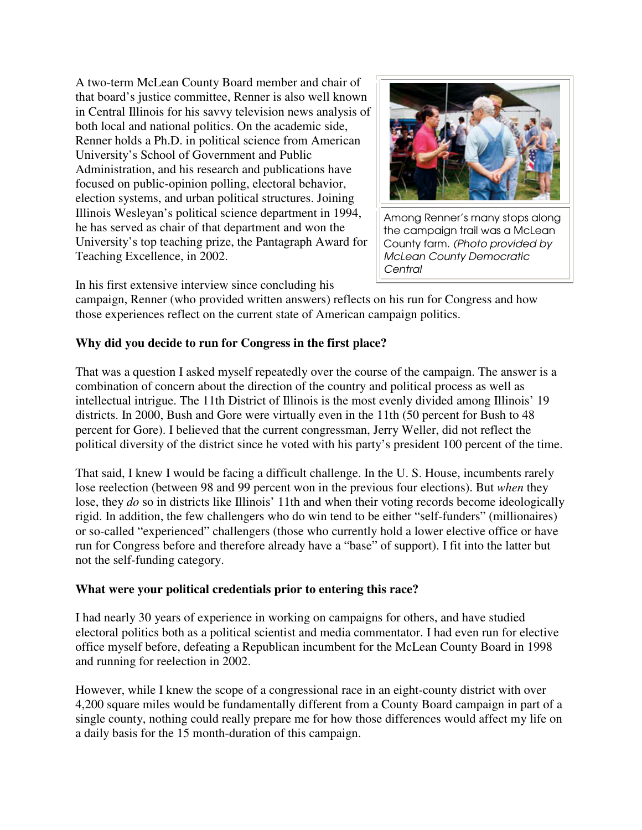A two-term McLean County Board member and chair of that board's justice committee, Renner is also well known in Central Illinois for his savvy television news analysis of both local and national politics. On the academic side, Renner holds a Ph.D. in political science from American University's School of Government and Public Administration, and his research and publications have focused on public-opinion polling, electoral behavior, election systems, and urban political structures. Joining Illinois Wesleyan's political science department in 1994, he has served as chair of that department and won the University's top teaching prize, the Pantagraph Award for Teaching Excellence, in 2002.



Among Renner's many stops along the campaign trail was a McLean County farm. (Photo provided by McLean County Democratic **Central** 

In his first extensive interview since concluding his

campaign, Renner (who provided written answers) reflects on his run for Congress and how those experiences reflect on the current state of American campaign politics.

## **Why did you decide to run for Congress in the first place?**

That was a question I asked myself repeatedly over the course of the campaign. The answer is a combination of concern about the direction of the country and political process as well as intellectual intrigue. The 11th District of Illinois is the most evenly divided among Illinois' 19 districts. In 2000, Bush and Gore were virtually even in the 11th (50 percent for Bush to 48 percent for Gore). I believed that the current congressman, Jerry Weller, did not reflect the political diversity of the district since he voted with his party's president 100 percent of the time.

That said, I knew I would be facing a difficult challenge. In the U. S. House, incumbents rarely lose reelection (between 98 and 99 percent won in the previous four elections). But *when* they lose, they *do* so in districts like Illinois' 11th and when their voting records become ideologically rigid. In addition, the few challengers who do win tend to be either "self-funders" (millionaires) or so-called "experienced" challengers (those who currently hold a lower elective office or have run for Congress before and therefore already have a "base" of support). I fit into the latter but not the self-funding category.

#### **What were your political credentials prior to entering this race?**

I had nearly 30 years of experience in working on campaigns for others, and have studied electoral politics both as a political scientist and media commentator. I had even run for elective office myself before, defeating a Republican incumbent for the McLean County Board in 1998 and running for reelection in 2002.

However, while I knew the scope of a congressional race in an eight-county district with over 4,200 square miles would be fundamentally different from a County Board campaign in part of a single county, nothing could really prepare me for how those differences would affect my life on a daily basis for the 15 month-duration of this campaign.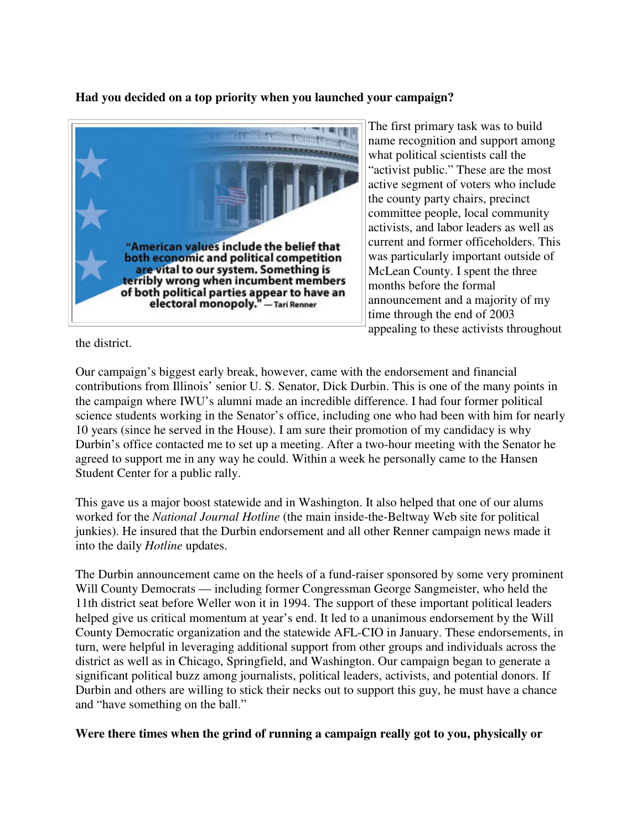## **Had you decided on a top priority when you launched your campaign?**



The first primary task was to build name recognition and support among what political scientists call the "activist public." These are the most active segment of voters who include the county party chairs, precinct committee people, local community activists, and labor leaders as well as current and former officeholders. This was particularly important outside of McLean County. I spent the three months before the formal announcement and a majority of my time through the end of 2003 appealing to these activists throughout

the district.

Our campaign's biggest early break, however, came with the endorsement and financial contributions from Illinois' senior U. S. Senator, Dick Durbin. This is one of the many points in the campaign where IWU's alumni made an incredible difference. I had four former political science students working in the Senator's office, including one who had been with him for nearly 10 years (since he served in the House). I am sure their promotion of my candidacy is why Durbin's office contacted me to set up a meeting. After a two-hour meeting with the Senator he agreed to support me in any way he could. Within a week he personally came to the Hansen Student Center for a public rally.

This gave us a major boost statewide and in Washington. It also helped that one of our alums worked for the *National Journal Hotline* (the main inside-the-Beltway Web site for political junkies). He insured that the Durbin endorsement and all other Renner campaign news made it into the daily *Hotline* updates.

The Durbin announcement came on the heels of a fund-raiser sponsored by some very prominent Will County Democrats — including former Congressman George Sangmeister, who held the 11th district seat before Weller won it in 1994. The support of these important political leaders helped give us critical momentum at year's end. It led to a unanimous endorsement by the Will County Democratic organization and the statewide AFL-CIO in January. These endorsements, in turn, were helpful in leveraging additional support from other groups and individuals across the district as well as in Chicago, Springfield, and Washington. Our campaign began to generate a significant political buzz among journalists, political leaders, activists, and potential donors. If Durbin and others are willing to stick their necks out to support this guy, he must have a chance and "have something on the ball."

**Were there times when the grind of running a campaign really got to you, physically or**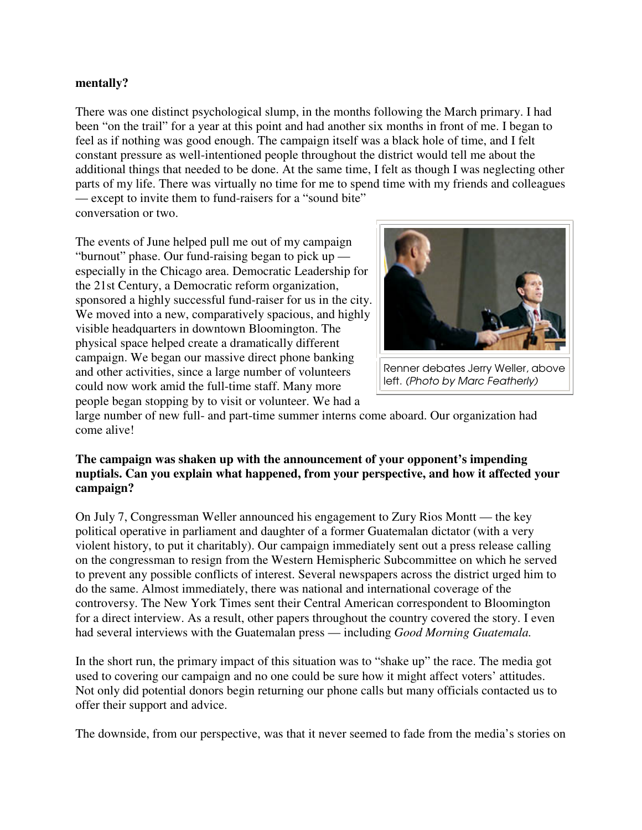#### **mentally?**

There was one distinct psychological slump, in the months following the March primary. I had been "on the trail" for a year at this point and had another six months in front of me. I began to feel as if nothing was good enough. The campaign itself was a black hole of time, and I felt constant pressure as well-intentioned people throughout the district would tell me about the additional things that needed to be done. At the same time, I felt as though I was neglecting other parts of my life. There was virtually no time for me to spend time with my friends and colleagues — except to invite them to fund-raisers for a "sound bite" conversation or two.

The events of June helped pull me out of my campaign "burnout" phase. Our fund-raising began to pick up especially in the Chicago area. Democratic Leadership for the 21st Century, a Democratic reform organization, sponsored a highly successful fund-raiser for us in the city. We moved into a new, comparatively spacious, and highly visible headquarters in downtown Bloomington. The physical space helped create a dramatically different campaign. We began our massive direct phone banking and other activities, since a large number of volunteers could now work amid the full-time staff. Many more people began stopping by to visit or volunteer. We had a



Renner debates Jerry Weller, above left. (Photo by Marc Featherly)

large number of new full- and part-time summer interns come aboard. Our organization had come alive!

#### **The campaign was shaken up with the announcement of your opponent's impending nuptials. Can you explain what happened, from your perspective, and how it affected your campaign?**

On July 7, Congressman Weller announced his engagement to Zury Rios Montt — the key political operative in parliament and daughter of a former Guatemalan dictator (with a very violent history, to put it charitably). Our campaign immediately sent out a press release calling on the congressman to resign from the Western Hemispheric Subcommittee on which he served to prevent any possible conflicts of interest. Several newspapers across the district urged him to do the same. Almost immediately, there was national and international coverage of the controversy. The New York Times sent their Central American correspondent to Bloomington for a direct interview. As a result, other papers throughout the country covered the story. I even had several interviews with the Guatemalan press — including *Good Morning Guatemala.*

In the short run, the primary impact of this situation was to "shake up" the race. The media got used to covering our campaign and no one could be sure how it might affect voters' attitudes. Not only did potential donors begin returning our phone calls but many officials contacted us to offer their support and advice.

The downside, from our perspective, was that it never seemed to fade from the media's stories on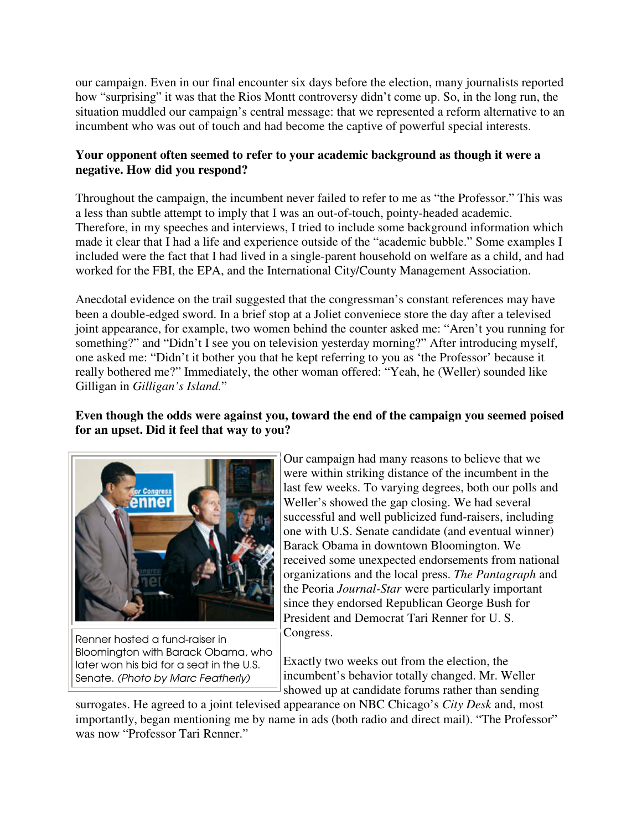our campaign. Even in our final encounter six days before the election, many journalists reported how "surprising" it was that the Rios Montt controversy didn't come up. So, in the long run, the situation muddled our campaign's central message: that we represented a reform alternative to an incumbent who was out of touch and had become the captive of powerful special interests.

## **Your opponent often seemed to refer to your academic background as though it were a negative. How did you respond?**

Throughout the campaign, the incumbent never failed to refer to me as "the Professor." This was a less than subtle attempt to imply that I was an out-of-touch, pointy-headed academic. Therefore, in my speeches and interviews, I tried to include some background information which made it clear that I had a life and experience outside of the "academic bubble." Some examples I included were the fact that I had lived in a single-parent household on welfare as a child, and had worked for the FBI, the EPA, and the International City/County Management Association.

Anecdotal evidence on the trail suggested that the congressman's constant references may have been a double-edged sword. In a brief stop at a Joliet conveniece store the day after a televised joint appearance, for example, two women behind the counter asked me: "Aren't you running for something?" and "Didn't I see you on television yesterday morning?" After introducing myself, one asked me: "Didn't it bother you that he kept referring to you as 'the Professor' because it really bothered me?" Immediately, the other woman offered: "Yeah, he (Weller) sounded like Gilligan in *Gilligan's Island.*"

## **Even though the odds were against you, toward the end of the campaign you seemed poised for an upset. Did it feel that way to you?**



Renner hosted a fund-raiser in Bloomington with Barack Obama, who later won his bid for a seat in the U.S. Senate. (Photo by Marc Featherly)

Our campaign had many reasons to believe that we were within striking distance of the incumbent in the last few weeks. To varying degrees, both our polls and Weller's showed the gap closing. We had several successful and well publicized fund-raisers, including one with U.S. Senate candidate (and eventual winner) Barack Obama in downtown Bloomington. We received some unexpected endorsements from national organizations and the local press. *The Pantagraph* and the Peoria *Journal-Star* were particularly important since they endorsed Republican George Bush for President and Democrat Tari Renner for U. S. Congress.

Exactly two weeks out from the election, the incumbent's behavior totally changed. Mr. Weller showed up at candidate forums rather than sending

surrogates. He agreed to a joint televised appearance on NBC Chicago's *City Desk* and, most importantly, began mentioning me by name in ads (both radio and direct mail). "The Professor" was now "Professor Tari Renner."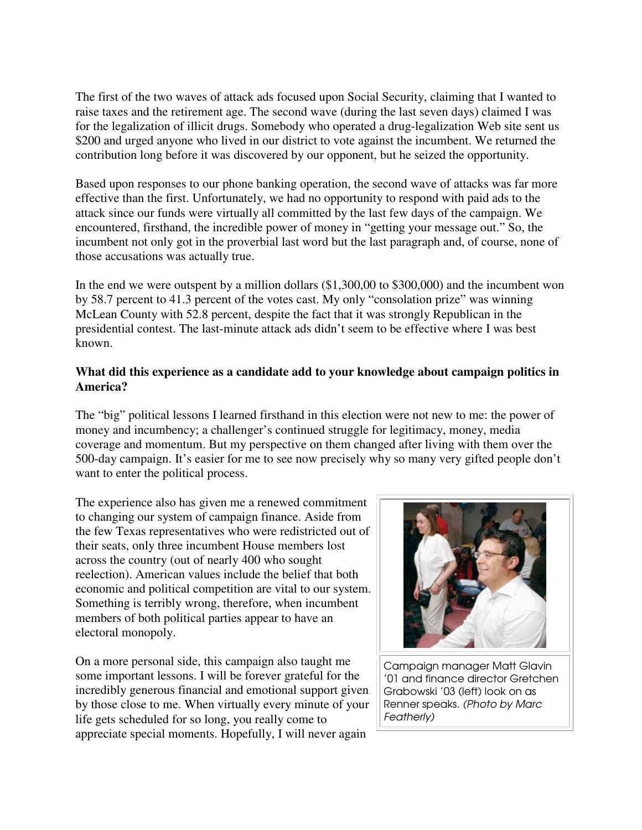The first of the two waves of attack ads focused upon Social Security, claiming that I wanted to raise taxes and the retirement age. The second wave (during the last seven days) claimed I was for the legalization of illicit drugs. Somebody who operated a drug-legalization Web site sent us \$200 and urged anyone who lived in our district to vote against the incumbent. We returned the contribution long before it was discovered by our opponent, but he seized the opportunity.

Based upon responses to our phone banking operation, the second wave of attacks was far more effective than the first. Unfortunately, we had no opportunity to respond with paid ads to the attack since our funds were virtually all committed by the last few days of the campaign. We encountered, firsthand, the incredible power of money in "getting your message out." So, the incumbent not only got in the proverbial last word but the last paragraph and, of course, none of those accusations was actually true.

In the end we were outspent by a million dollars  $(\$1,300,00$  to  $\$300,000)$  and the incumbent won by 58.7 percent to 41.3 percent of the votes cast. My only "consolation prize" was winning McLean County with 52.8 percent, despite the fact that it was strongly Republican in the presidential contest. The last-minute attack ads didn't seem to be effective where I was best known.

#### **What did this experience as a candidate add to your knowledge about campaign politics in America?**

The "big" political lessons I learned firsthand in this election were not new to me: the power of money and incumbency; a challenger's continued struggle for legitimacy, money, media coverage and momentum. But my perspective on them changed after living with them over the 500-day campaign. It's easier for me to see now precisely why so many very gifted people don't want to enter the political process.

The experience also has given me a renewed commitment to changing our system of campaign finance. Aside from the few Texas representatives who were redistricted out of their seats, only three incumbent House members lost across the country (out of nearly 400 who sought reelection). American values include the belief that both economic and political competition are vital to our system. Something is terribly wrong, therefore, when incumbent members of both political parties appear to have an electoral monopoly.

On a more personal side, this campaign also taught me some important lessons. I will be forever grateful for the incredibly generous financial and emotional support given by those close to me. When virtually every minute of your life gets scheduled for so long, you really come to appreciate special moments. Hopefully, I will never again



Campaign manager Matt Glavin '01 and finance director Gretchen Grabowski '03 (left) look on as Renner speaks. (Photo by Marc Featherly)